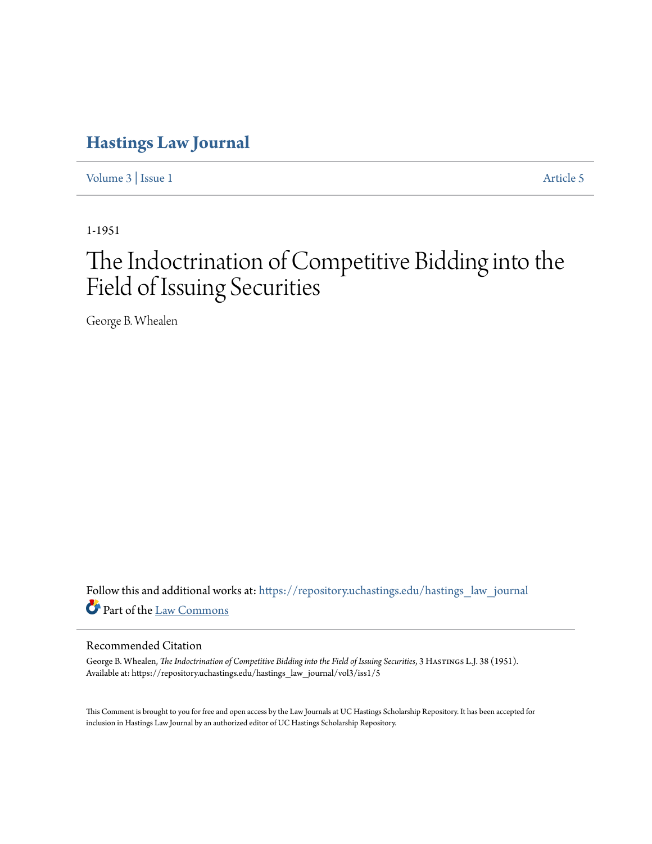# **[Hastings Law Journal](https://repository.uchastings.edu/hastings_law_journal?utm_source=repository.uchastings.edu%2Fhastings_law_journal%2Fvol3%2Fiss1%2F5&utm_medium=PDF&utm_campaign=PDFCoverPages)**

[Volume 3](https://repository.uchastings.edu/hastings_law_journal/vol3?utm_source=repository.uchastings.edu%2Fhastings_law_journal%2Fvol3%2Fiss1%2F5&utm_medium=PDF&utm_campaign=PDFCoverPages) | [Issue 1](https://repository.uchastings.edu/hastings_law_journal/vol3/iss1?utm_source=repository.uchastings.edu%2Fhastings_law_journal%2Fvol3%2Fiss1%2F5&utm_medium=PDF&utm_campaign=PDFCoverPages) [Article 5](https://repository.uchastings.edu/hastings_law_journal/vol3/iss1/5?utm_source=repository.uchastings.edu%2Fhastings_law_journal%2Fvol3%2Fiss1%2F5&utm_medium=PDF&utm_campaign=PDFCoverPages)

1-1951

# The Indoctrination of Competitive Bidding into the Field of Issuing Securities

George B. Whealen

Follow this and additional works at: [https://repository.uchastings.edu/hastings\\_law\\_journal](https://repository.uchastings.edu/hastings_law_journal?utm_source=repository.uchastings.edu%2Fhastings_law_journal%2Fvol3%2Fiss1%2F5&utm_medium=PDF&utm_campaign=PDFCoverPages) Part of the [Law Commons](http://network.bepress.com/hgg/discipline/578?utm_source=repository.uchastings.edu%2Fhastings_law_journal%2Fvol3%2Fiss1%2F5&utm_medium=PDF&utm_campaign=PDFCoverPages)

#### Recommended Citation

George B. Whealen, *The Indoctrination of Competitive Bidding into the Field of Issuing Securities*, 3 Hastings L.J. 38 (1951). Available at: https://repository.uchastings.edu/hastings\_law\_journal/vol3/iss1/5

This Comment is brought to you for free and open access by the Law Journals at UC Hastings Scholarship Repository. It has been accepted for inclusion in Hastings Law Journal by an authorized editor of UC Hastings Scholarship Repository.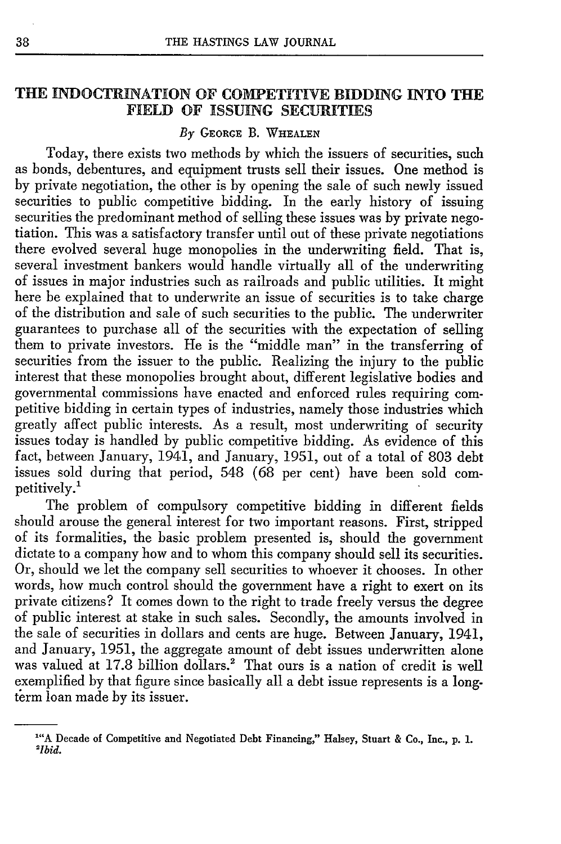#### **THE INDOCTRINATION** OF COMPETITIVE **BIDDING INTO THE FIELD** OF **ISSUING SECURITIES**

#### *By* GEORGE B. **WHEALEN**

Today, there exists two methods by which the issuers of securities, such as bonds, debentures, and equipment trusts sell their issues. One method is by private negotiation, the other is by opening the sale of such newly issued securities to public competitive bidding. In the early history of issuing securities the predominant method of selling these issues was by private negotiation. This was a satisfactory transfer until out of these private negotiations there evolved several huge monopolies in the underwriting field. That is, several investment bankers would handle virtually all of the underwriting of issues in major industries such as railroads and public utilities. It might here be explained that to underwrite an issue of securities is to take charge of the distribution and sale of such securities to the public. The underwriter guarantees to purchase all of the securities with the expectation of selling them to private investors. He is the "middle man" in the transferring of securities from the issuer to the public. Realizing the injury to the public interest that these monopolies brought about, different legislative bodies and governmental commissions have enacted and enforced rules requiring competitive bidding in certain types of industries, namely those industries which greatly affect public interests. As a result, most underwriting of security issues today is handled by public competitive bidding. As evidence of this fact, between January, 1941, and January, 1951, out of a total of 803 debt issues sold during that period, 548 (68 per cent) have been sold competitively.'

The problem of compulsory competitive bidding in different fields should arouse the general interest for two important reasons. First, stripped of its formalities, the basic problem presented is, should the government dictate to a company how and to whom this company should sell its securities. Or, should we let the company sell securities to whoever it chooses. In other words, how much control should the government have a right to exert on its private citizens? It comes down to the right to trade freely versus the degree of public interest at stake in such sales. Secondly, the amounts involved in the sale of securities in dollars and cents are huge. Between January, 1941, and January, 1951, the aggregate amount of debt issues underwritten alone was valued at 17.8 billion dollars.<sup>2</sup> That ours is a nation of credit is well exemplified by that figure since basically all a debt issue represents is a longterm loan made by its issuer.

**<sup>1&</sup>quot;A** Decade of Competitive and Negotiated Debt Financing," Halsey, Stuart & Co., Inc., **p. 1.** *2Ibid.*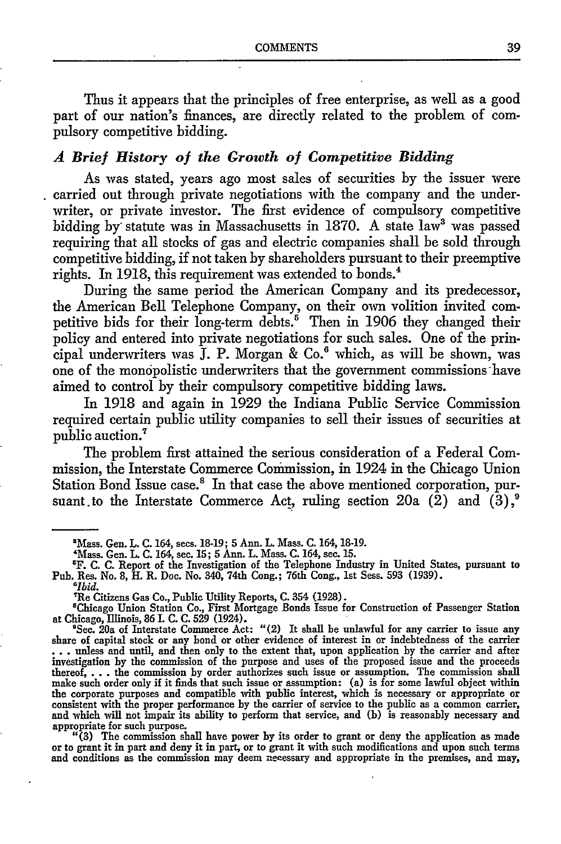Thus it appears that the principles of free enterprise, as well as a good part of our nation's finances, are directly related to the problem of compulsory competitive bidding.

# *A Brief History of the Growth of Competitive Bidding*

As was stated, years ago most sales of securities by the issuer were carried out through private negotiations with the company and the underwriter, or private investor. The first evidence of compulsory competitive bidding by statute was in Massachusetts in 1870. A state law<sup>3</sup> was passed requiring that all stocks of gas and electric companies shall be sold through competitive bidding, if not taken by shareholders pursuant to their preemptive rights. In 1918, this requirement was extended to bonds.<sup>4</sup>

During the same period the American Company and its predecessor, the American Bell Telephone Company, on their own volition invited competitive bids for their long-term debts.<sup> $\check{\mathfrak{s}}$ </sup> Then in 1906 they changed their policy and entered into private negotiations for such sales. One of the principal underwriters was  $J.$  P. Morgan &  $Co.6$  which, as will be shown, was one of the monopolistic underwriters that the government commissions have aimed to control by their compulsory competitive bidding laws.

In 1918 and again in 1929 the Indiana Public Service Commission required certain public utility companies to sell their issues of securities at public auction.7

The problem first attained the serious consideration of a Federal Commission, the Interstate Commerce Commission, in 1924 in the Chicago Union Station Bond Issue case.<sup>8</sup> In that case the above mentioned corporation, pursuant to the Interstate Commerce Act, ruling section 20a  $(\hat{2})$  and  $(\hat{3})$ ,<sup>9</sup>

Re Citizens Gas Co., Public Utility Reports, C. 354 (1928).

'Chicago Union Station Co., First Mortgage Bonds Issue for Construction of Passenger Station at Chicago, Illinois, **86** I. C. C. **529** (1924).

**'See.** 20a of Interstate Commerce Act: "(2) It shall be unlawful for any carrier to issue any share of capital stock or any bond or other evidence of interest in or indebtedness of the carrier **...** unless and until, and then only to the extent that, upon application by the carrier and after investigation by the commission of the purpose and uses of the proposed issue and the proceeds thereof, . . .the commission by order authorizes such issue or assumption. The commission shall make such order only if it finds that such issue or assumption: (a) is for some lawful object within the corporate purposes and compatible with public interest, which is necessary or appropriate or<br>consistent with the proper performance by the carrier of service to the public as a common carrier,<br>and which will not impair appropriate for such purpose.<br>
"(3) The commission shall have power by its order to grant or deny the application as made

"(3) The commission shall have power by its order to grant or deny the application as made<br>or to grant it in part and deny it in part, or to grant it with such modifications and upon such terms<br>and conditions as the commis

<sup>&</sup>quot;Mass. Gen. L. **C.** 164, sees. 18-19; **5** Ann. L. Mass. C. 164, 18-19.

<sup>&#</sup>x27;Mass. Gen. L. C. 164, see. 15; 5 Ann. L. Mass. C. 164, sec. 15. <sup>5</sup>

F. **C.** C. Report of the Investigation of the Telephone Industry in United States, pursuant to Pub. Res. No. 8, H. R. Doc. No. 340, 74th Cong.; 76th Cong., **1st** Sess. 593 (1939). *<sup>0</sup>*

*<sup>1</sup>bid.*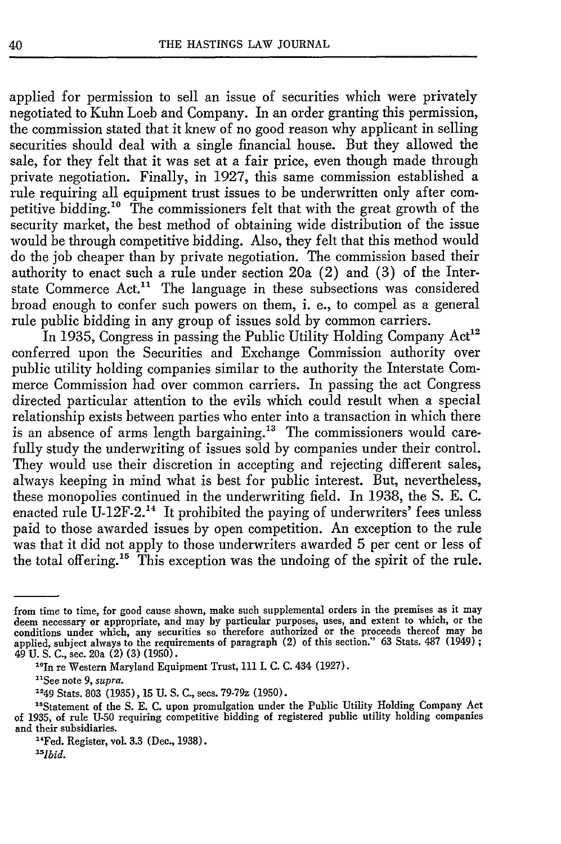applied for permission to sell an issue of securities which were privately negotiated to Kuhn Loeb and Company. In an order granting this permission, the commission stated that it knew of no good reason why applicant in selling securities should deal with a single financial house. But they allowed the sale, for they felt that it was set at a fair price, even though made through private negotiation. Finally, in 1927, this same commission established a rule requiring all equipment trust issues to be underwritten only after competitive bidding.<sup>10</sup> The commissioners felt that with the great growth of the security market, the best method of obtaining wide distribution of the issue would be through competitive bidding. Also, they felt that this method would do the job cheaper than by private negotiation. The commission based their authority to enact such a rule under section 20a (2) and (3) of the Interstate Commerce Act.<sup>11</sup> The language in these subsections was considered broad enough to confer such powers on them, i. e., to compel as a general rule public bidding in any group of issues sold by common carriers.

In 1935, Congress in passing the Public Utility Holding Company  $Act^{12}$ conferred upon the Securities and Exchange Commission authority over public utility holding companies similar to the authority the Interstate Commerce Commission had over common carriers. In passing the act Congress directed particular attention to the evils which could result when a special relationship exists between parties who enter into a transaction in which there is an absence of arms length bargaining.<sup>13</sup> The commissioners would carefully study the underwriting of issues sold by companies under their control. They would use their discretion in accepting and rejecting different sales, always keeping in mind what is best for public interest. But, nevertheless, these monopolies continued in the underwriting field. In 1938, the S. E. C. enacted rule U-12F-2.<sup>14</sup> It prohibited the paying of underwriters' fees unless paid to those awarded issues by open competition. An exception to the rule was that it did not apply to those underwriters awarded 5 per cent or less of the total offering.<sup>15</sup> This exception was the undoing of the spirit of the rule.

from time to time, for good cause shown, make such supplemental orders in the premises as it may deem necessary or appropriate, and may **by** particular purposes, uses, and extent to which, or the conditions under which, any securities so therefore authorized or the proceeds thereof may be applied, subject always to the requirements of paragraph (2) of this section." **63** Stats. **487** (1949); 49 **U. S. C.,** see. 20a (2) **(3) (1950).**

<sup>&</sup>quot; <sup>0</sup> In re Western Maryland Equipment Trust, **111 I. C. C.** 434 **(1927).**

<sup>&</sup>quot;See note **9,** *supra.* **<sup>1249</sup>**Stats. **803 (1935), 15 U. S. C.,** secs. 79-79z **(1950).**

<sup>&</sup>lt;sup>18</sup>Statement of the S. E. C. upon promulgation under the Public Utility Holding Company Act of **1935,** of rule **U-50** requiring competitive bidding of registered public utility holding companies and their subsidiaries.

<sup>&#</sup>x27;Fed. Register, vol. **3.3** (Dec., **1938).**

*<sup>5</sup> Ibid.*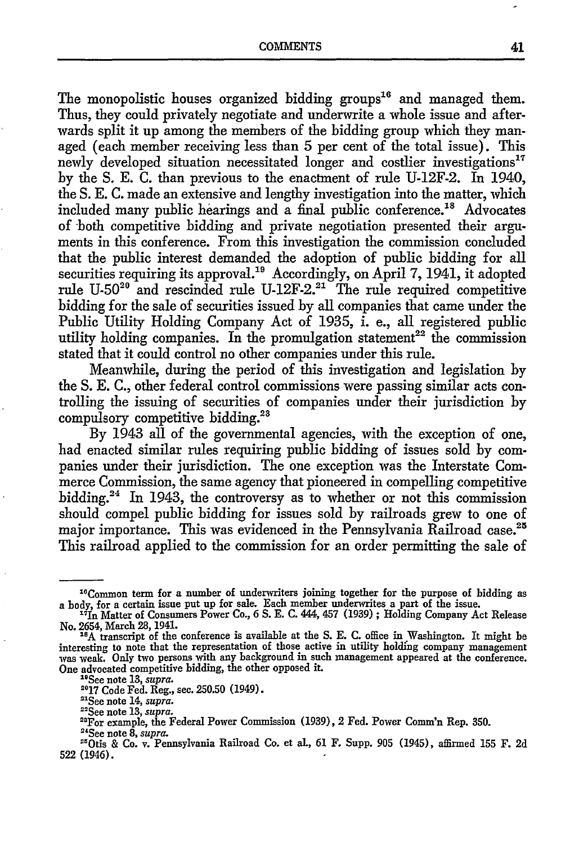The monopolistic houses organized bidding groups<sup>16</sup> and managed them. Thus, they could privately negotiate and underwrite a whole issue and afterwards split it up among the members of the bidding group which they managed (each member receiving less than 5 per cent of the total issue). This newly developed situation necessitated longer and costlier investigations"7 by the S. E. C. than previous to the enactment of rule U-12F-2. In 1940, the S. E. C. made an extensive and lengthy investigation into the matter, which included many public hearings and a final public conference.<sup>18</sup> Advocates of both competitive bidding and private negotiation presented their arguments in this conference. From this investigation the commission concluded that the public interest demanded the adoption of public bidding for all securities requiring its approval.<sup>19</sup> Accordingly, on April 7, 1941, it adopted rule U-50<sup>20</sup> and rescinded rule U-12F-2.<sup>21</sup> The rule required competitive bidding for the sale of securities issued by all companies that came under the Public Utility Holding Company Act of 1935, i. e., all registered public utility holding companies. In the promulgation statement<sup>22</sup> the commission stated that it could control no other companies under this rule.

Meanwhile, during the period of this investigation and legislation by the S. E. C., other federal control commissions were passing similar acts controlling the issuing of securities of companies under their jurisdiction by compulsory competitive bidding.<sup>21</sup>

By 1943 all of the governmental agencies, with the exception of one, had enacted similar rules requiring public bidding of issues sold by companies under their jurisdiction. The one exception was the Interstate Commerce Commission, the same agency that pioneered in compelling competitive bidding.24 In 1943, the controversy as to whether or not this commission should compel public bidding for issues sold by railroads grew to one of major importance. This was evidenced in the Pennsylvania Railroad case.<sup>25</sup> This railroad applied to the commission for an order permitting the sale of

**2017** Code Fed. Reg., sec. 250.50 (1949).

"See note 14, *supra.*

<sup>22</sup>See note 13, *supra.* 

<sup>23</sup>For example, the Federal Power Commission (1939), 2 Fed. Power Comm'n Rep. 350.

<sup>&</sup>lt;sup>16</sup>Common term for a number of underwriters joining together for the purpose of bidding as a body, for a certain issue put up for sale. Each member underwrites a part of the issue.<br><sup>17</sup>In Matter of Consumers Power Co., **6 S. E. C. 444, 457 (1939)**; Holding Company Act Release

No. 2654, March 28, 1941.

<sup>&</sup>lt;sup>18</sup>A transcript of the conference is available at the S. E. C. office in Washington. It might be interesting to note that the representation of those active in utility holding company management was weak. Only two persons with any background in such management appeared at the conference. One advocated competitive bidding, the other opposed it.

<sup>&</sup>quot;See note 13, *supra.*

<sup>4</sup> See note *8, supra.* "Otis & Co. v. Pennsylvania Railroad Co. et al., 61 F. Supp. 905 (1945), affirmed **155** F. 2d 522 (1946).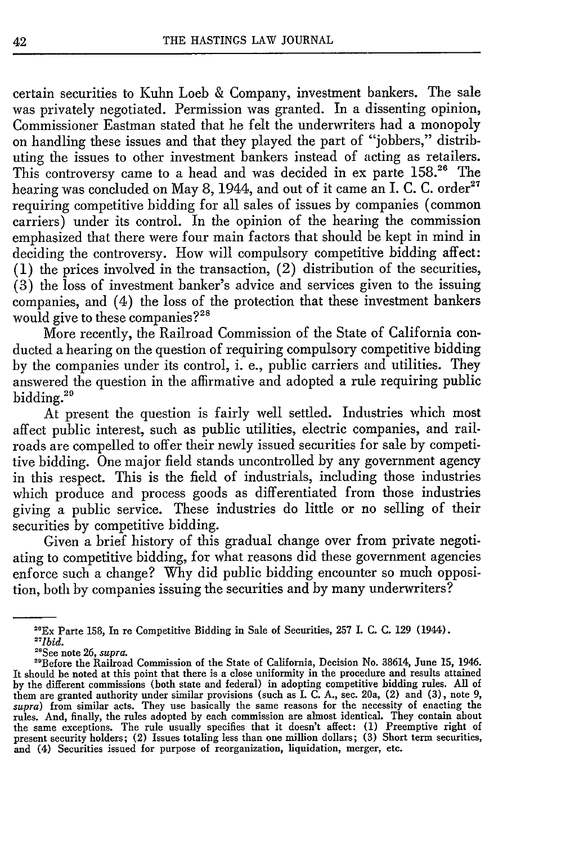certain securities to Kuhn Loeb & Company, investment bankers. The sale was privately negotiated. Permission was granted. In a dissenting opinion, Commissioner Eastman stated that he felt the underwriters had a monopoly on handling these issues and that they played the part of "jobbers," distributing the issues to other investment bankers instead of acting as retailers. This controversy came to a head and was decided in ex parte 158.<sup>26</sup> The hearing was concluded on May 8, 1944, and out of it came an I. C. C. order<sup>27</sup> requiring competitive bidding for all sales of issues by companies (common carriers) under its control. In the opinion of the hearing the commission emphasized that there were four main factors that should be kept in mind in deciding the controversy. How will compulsory competitive bidding affect: (1) the prices involved in the transaction, (2) distribution of the securities, (3) the loss of investment banker's advice and services given to the issuing companies, and (4) the loss of the protection that these investment bankers would give to these companies?<sup>28</sup>

More recently, the Railroad Commission of the State of California conducted a hearing on the question of requiring compulsory competitive bidding by the companies under its control, i. e., public carriers and utilities. They answered the question in the affirmative and adopted a rule requiring public bidding.29

At present the question is fairly well settled. Industries which most affect public interest, such as public utilities, electric companies, and railroads are compelled to offer their newly issued securities for sale by competitive bidding. One major field stands uncontrolled by any government agency in this respect. This is the field of industrials, including those industries which produce and process goods as differentiated from those industries giving a public service. These industries do little or no selling of their securities by competitive bidding.

Given a brief history of this gradual change over from private negotiating to competitive bidding, for what reasons did these government agencies enforce such a change? Why did public bidding encounter so much opposition, both by companies issuing the securities and by many underwriters?

<sup>&</sup>quot;Ex Parte 158, In re Competitive Bidding in Sale of Securities, 257 I. **C. C.** 129 (1944). *" 7 Ibid.*

<sup>&</sup>quot;See note **26,** *supra.* -"Before the Railroad Commission of the State of California, Decision No. **38614,** June **15,** 1946. It should be noted at this point that there is a close uniformity in the procedure and results attained **by** the different commissions (both state and federal) in adopting competitive bidding rules. **All** of them are granted authority under similar provisions (such as I. **C. A.,** see. 20a, (2) and **(3),** note **9,** *supra)* from similar acts. They use basically the same reasons for the necessity of enacting the rules. And, finally, the rules adopted by each commission are almost identical. They contain about<br>the same exceptions. The rule usually specifies that it doesn't affect: (1) Preemptive right of<br>present security holders; ( and (4) Securities issued for purpose of reorganization, liquidation, merger, etc.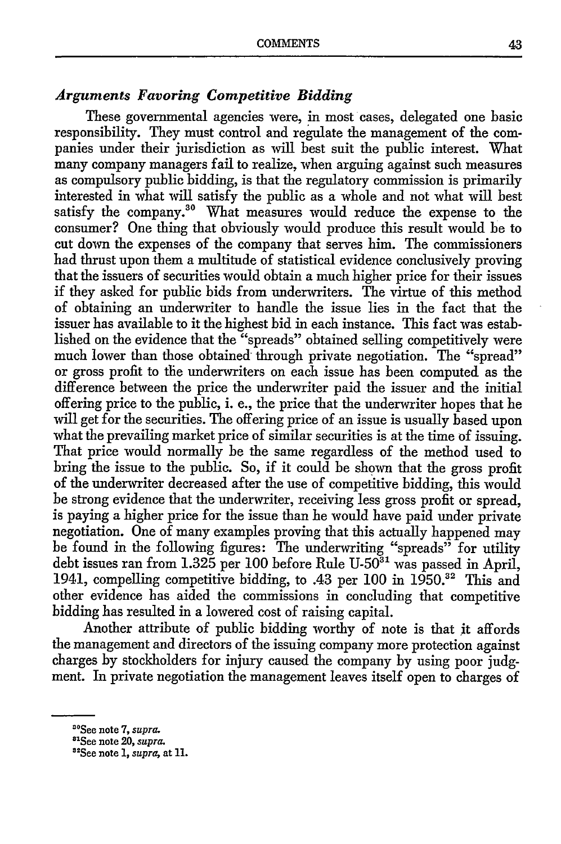# *Arguments Favoring Competitive Bidding*

These governmental agencies were, in most cases, delegated one basic responsibility. They must control and regulate the management of the companies under their jurisdiction as will best suit the public interest. What many company managers fail to realize, when arguing against such measures as compulsory public bidding, is that the regulatory commission is primarily interested in what will satisfy the public as a whole and not what will best satisfy the company.<sup>30</sup> What measures would reduce the expense to the consumer? One thing that obviously would produce this result would be to cut down the expenses of the company that serves him. The commissioners had thrust upon them a multitude of statistical evidence conclusively proving that the issuers of securities would obtain a much higher price for their issues if they asked for public bids from underwriters. The virtue of this method of obtaining an underwriter to handle the issue lies in the fact that the issuer has available to it the highest bid in each instance. This fact was established on the evidence that the "spreads" obtained selling competitively were much lower than those obtained through private negotiation. The "spread" or gross profit to the underwriters on each issue has been computed as the difference between the price the underwriter paid the issuer and the initial offering price to the public, i. e., the price that the underwriter hopes that he will get for the securities. The offering price of an issue is usually based upon what the prevailing market price of similar securities is at the time of issuing. That price would normally be the same regardless of the method used to bring the issue to the public. So, if it could be shown that the gross profit of the underwriter decreased after the use of competitive bidding, this would be strong evidence that the underwriter, receiving less gross profit or spread, is paying a higher price for the issue than he would have paid under private negotiation. One of many examples proving that this actually happened may be found in the following figures: The underwriting "spreads" for utility debt issues ran from  $1.325$  per 100 before Rule U-50<sup>31</sup> was passed in April, 1941, compelling competitive bidding, to  $.43$  per 100 in 1950.<sup>32</sup> This and other evidence has aided the commissions in concluding that competitive bidding has resulted in a lowered cost of raising capital.

Another attribute of public bidding worthy of note is that it affords the management and directors of the issuing company more protection against charges by stockholders for injury caused the company by using poor judgment. In private negotiation the management leaves itself open to charges of

<sup>&</sup>quot;°See note **7,** *supra.* <sup>81</sup>

See note 20, *supra.*

<sup>&</sup>quot;See note 1, *supra,* at **11.**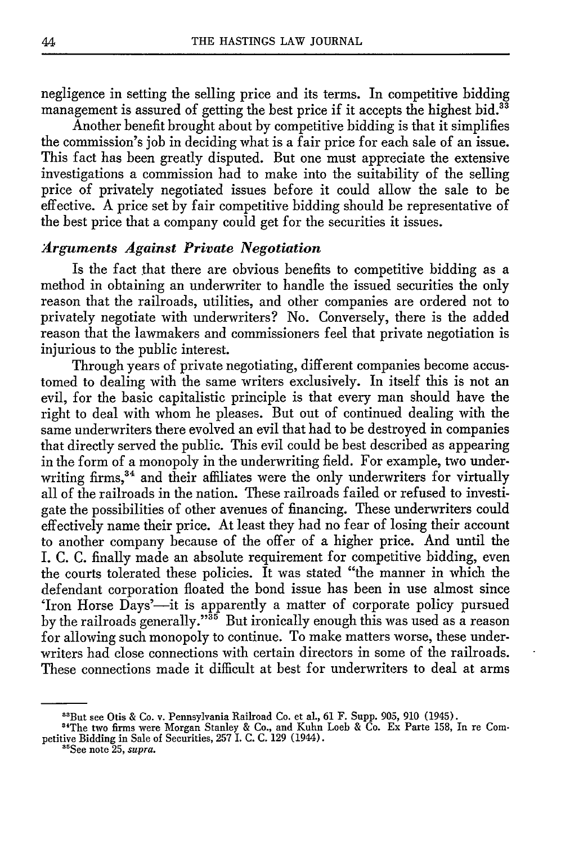negligence in setting the selling price and its terms. In competitive bidding management is assured of getting the best price if it accepts the highest bid.<sup>33</sup>

Another benefit brought about by competitive bidding is that it simplifies the commission's job in deciding what is a fair price for each sale of an issue. This fact has been greatly disputed. But one must appreciate the extensive investigations a commission had to make into the suitability of the selling price of privately negotiated issues before it could allow the sale to be effective. A price set **by** fair competitive bidding should be representative of the best price that a company could get for the securities it issues.

### *Arguments Against Private Negotiation*

Is the fact that there are obvious benefits to competitive bidding as a method in obtaining an underwriter to handle the issued securities the only reason that the railroads, utilities, and other companies are ordered not to privately negotiate with underwriters? No. Conversely, there is the added reason that the lawmakers and commissioners feel that private negotiation is injurious to the public interest.

Through years of private negotiating, different companies become accustomed to dealing with the same writers exclusively. In itself this is not an evil, for the basic capitalistic principle is that every man should have the right to deal with whom he pleases. But out of continued dealing with the same underwriters there evolved an evil that had to be destroyed in companies that directly served the public. This evil could be best described as appearing in the form of a monopoly in the underwriting field. For example, two underwriting firms,<sup>34</sup> and their affiliates were the only underwriters for virtually all of the railroads in the nation. These railroads failed or refused to investigate the possibilities of other avenues of financing. These underwriters could effectively name their price. At least they had no fear of losing their account to another company because of the offer of a higher price. And until the I. C. C. finally made an absolute requirement for competitive bidding, even the courts tolerated these policies. It was stated "the manner in which the defendant corporation floated the bond issue has been in use almost since 'Iron Horse Days'-it is apparently a matter of corporate policy pursued by the railroads generally."35 But ironically enough this was used as a reason for allowing such monopoly to continue. To make matters worse, these underwriters had close connections with certain directors in some of the railroads. These connections made it difficult at best for underwriters to deal at arms

<sup>&</sup>quot; 3 But see Otis **&** Co. v. Pennsylvania Railroad Co. et al., 61 F. Supp. 905, 910 (1945).

<sup>&</sup>quot; 4 The two firms were Morgan Stanley **&** Co., and Kuhn Loeb **&** Co. Ex Parte **158,** In re Competitive Bidding in Sale of Securities, **257 I. C. C. 129** (1944).

<sup>&</sup>quot; See note **25,** *supra.*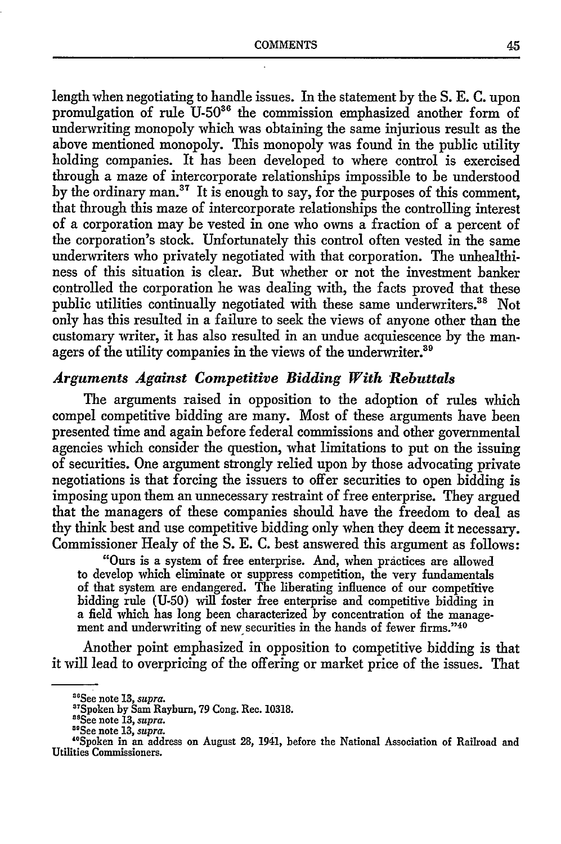length when negotiating to handle issues. In the statement by the S. E. C. upon promulgation of rule U-50<sup>36</sup> the commission emphasized another form of underwriting monopoly which was obtaining the same injurious result as the above mentioned monopoly. This monopoly was found in the public utility holding companies. It has been developed to where control is exercised through a maze of intercorporate relationships impossible to be understood by the ordinary man.<sup>37</sup> It is enough to say, for the purposes of this comment, that through this maze of intercorporate relationships the controlling interest of a corporation may be vested in one who owns a fraction of a percent of the corporation's stock. Unfortunately this control often vested in the same underwriters who privately negotiated with that corporation. The unhealthiness of this situation is clear. But whether or not the investment banker controlled the corporation he was dealing with, the facts proved that these public utilities continually negotiated with these same underwriters.<sup>38</sup> Not only has this resulted in a failure to seek the views of anyone other than the customary writer, it has also resulted in an undue acquiescence by the managers of the utility companies in the views of the underwriter.<sup>39</sup>

#### *Arguments Against Competitive Bidding With Rebuttals*

The arguments raised in opposition to the adoption of rules which compel competitive bidding are many. Most of these arguments have been presented time and again before federal commissions and other governmental agencies which consider the question, what limitations to put on the issuing of securities. One argument strongly relied upon by those advocating private negotiations is that forcing the issuers to offer securities to open bidding is imposing upon them an unnecessary restraint of free enterprise. They argued that the managers of these companies should have the freedom to deal as thy think best and use competitive bidding only when they deem it necessary. Commissioner Healy of the S. E. C. best answered this argument as follows:

"Ours is a system of free enterprise. And, when practices are allowed to develop which eliminate or suppress competition, the very fundamentals of that system are endangered. The liberating influence of our competitive bidding rule (U-50) will foster free enterprise and competitive bidding in a field which has long been characterized by concentration of the management and underwriting of new securities in the hands of fewer firms."<sup>40</sup>

Another point emphasized in opposition to competitive bidding is that it will lead to overpricing of the offering or market price of the issues. That

<sup>&</sup>quot;See note 13, *supra.*

<sup>&</sup>quot;Spoken **by** Sam Rayburn, **79** Cong. Rec. 10318.

<sup>&</sup>lt;sup>88</sup>See note 13, *supra*.<br><sup>89</sup>See note 13, *supra*.

<sup>&</sup>lt;sup>40</sup>Spoken in an address on August 28, 1941, before the National Association of Railroad and Utilities Commissioners.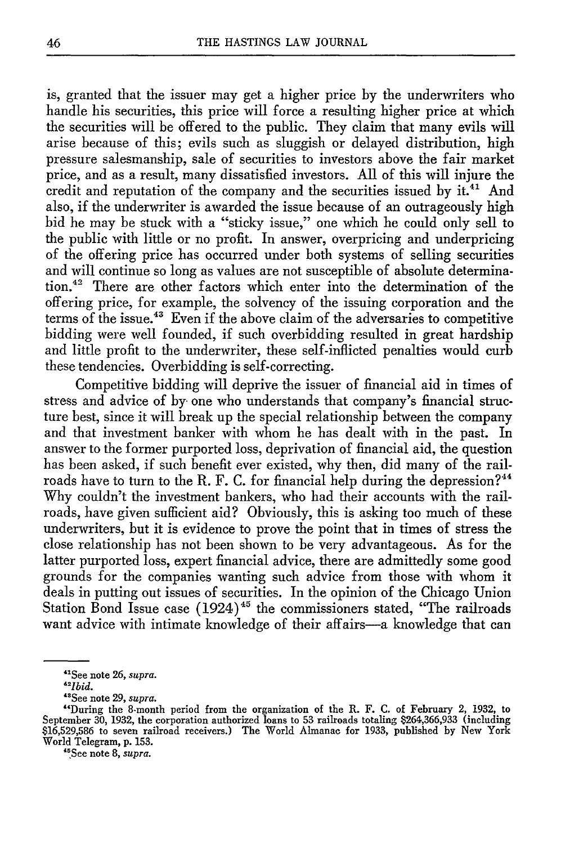is, granted that the issuer may get a higher price by the underwriters who handle his securities, this price will force a resulting higher price at which the securities will be offered to the public. They claim that many evils will arise because of this; evils such as sluggish or delayed distribution, high pressure salesmanship, sale of securities to investors above the fair market price, and as a result, many dissatisfied investors. All of this will injure the credit and reputation of the company and the securities issued by it.<sup>41</sup> And also, if the underwriter is awarded the issue because of an outrageously high bid he may be stuck with a "sticky issue," one which he could only sell to the public with little or no profit. In answer, overpricing and underpricing of the offering price has occurred under both systems of selling securities and will continue so long as values are not susceptible of absolute determination.42 There are other factors which enter into the determination of the offering price, for example, the solvency of the issuing corporation and the terms of the issue.<sup>43</sup> Even if the above claim of the adversaries to competitive bidding were well founded, if such overbidding resulted in great hardship and little profit to the underwriter, these self-inflicted penalties would curb these tendencies. Overbidding is self-correcting.

Competitive bidding will deprive the issuer of financial aid in times of stress and advice of by one who understands that company's financial structure best, since it will break up the special relationship between the company and that investment banker with whom he has dealt with in the past. In answer to the former purported loss, deprivation of financial aid, the question has been asked, if such benefit ever existed, why then, did many of the railroads have to turn to the R. F. C. for financial help during the depression?<sup>44</sup> Why couldn't the investment bankers, who had their accounts with the railroads, have given sufficient aid? Obviously, this is asking too much of these underwriters, but it is evidence to prove the point that in times of stress the close relationship has not been shown to be very advantageous. As for the latter purported loss, expert financial advice, there are admittedly some good grounds for the companies wanting such advice from those with whom it deals in putting out issues of securities. In the opinion of the Chicago Union Station Bond Issue case  $(1924)^{45}$  the commissioners stated, "The railroads want advice with intimate knowledge of their affairs-a knowledge that can

**"5See** note **8,** *supra.*

<sup>&</sup>quot; <sup>1</sup> See note **26,** *supra. "21bid.*

<sup>&</sup>quot;See note 29, supra.

<sup>&</sup>quot;During the 8-month period from the organization of the R. F. **C.** of February 2, **1932,** to September 30, 1932, the corporation authorized loans to 53 railroads totaling \$264,366,933 (including<br>\$16,529,586 to seven railroad receivers.) The World Almanac for 1933, published by New York World Telegram, **p. 153.**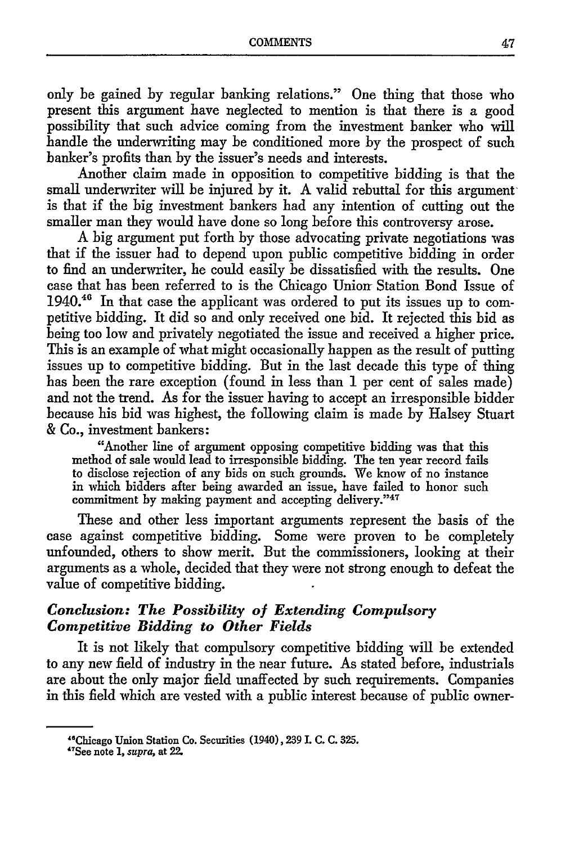only be gained by regular banking relations." One thing that those who present this argument have neglected to mention is that there is a good possibility that such advice coming from the investment banker who will handle the underwriting may be conditioned more by the prospect of such banker's profits than by the issuer's needs and interests.

Another claim made in opposition to competitive bidding is that the small underwriter will be injured by it. A valid rebuttal for this argument is that if the big investment bankers had any intention of cutting out the smaller man they would have done so long before this controversy arose.

A big argument put forth by those advocating private negotiations was that if the issuer had to depend upon public competitive bidding in order to find an underwriter, he could easily be dissatisfied with the results. One case that has been referred to is the Chicago Union- Station Bond Issue of 1940.<sup>46</sup> In that case the applicant was ordered to put its issues up to competitive bidding. It did so and only received one bid. It rejected this bid as being too low and privately negotiated the issue and received a higher price. This is an example of what might occasionally happen as the result of putting issues up to competitive bidding. But in the last decade this type of thing has been the rare exception (found in less than 1 per cent of sales made) and not the trend. As for the issuer having to accept an irresponsible bidder because his bid was highest, the following claim is made by Halsey Stuart & Co., investment bankers:

"Another line of argument opposing competitive bidding was that this method of sale would lead to irresponsible bidding. The ten year record fails to disclose rejection of any bids on such grounds. We know of no instance in which bidders after being awarded an issue, have failed to honor such commitment by making payment and accepting delivery."47

These and other less important arguments represent the basis of the case against competitive bidding. Some were proven to be completely unfounded, others to show merit. But the commissioners, looking at their arguments as a whole, decided that they were not strong enough to defeat the value of competitive bidding.

# *Conclusion: The Possibility of Extending Compulsory Competitive Bidding to Other Fields*

It is not likely that compulsory competitive bidding will be extended to any new field of industry in the near future. As stated before, industrials are about the only major field unaffected by such requirements. Companies in this field which are vested with a public interest because of public owner-

<sup>&</sup>quot;Chicago Union Station Co. Securities (1940), **239 I. C. C. 325.**

<sup>&</sup>quot;'See note *1, supra,* at 22.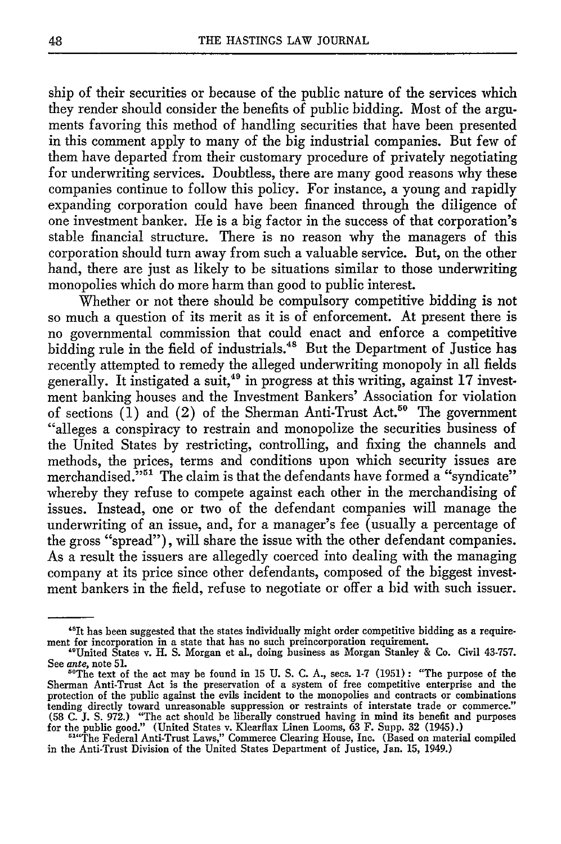ship of their securities or because of the public nature of the services which they render should consider the benefits of public bidding. Most of the arguments favoring this method of handling securities that have been presented in this comment apply to many of the big industrial companies. But few of them have departed from their customary procedure of privately negotiating for underwriting services. Doubtless, there are many good reasons why these companies continue to follow this policy. For instance, a young and rapidly expanding corporation could have been financed through the diligence of one investment banker. He is a big factor in the success of that corporation's stable financial structure. There is no reason why the managers of this corporation should turn away from such a valuable service. But, on the other hand, there are just as likely to be situations similar to those underwriting monopolies which do more harm than good to public interest.

Whether or not there should be compulsory competitive bidding is not so much a question of its merit as it is of enforcement. At present there is no governmental commission that could enact and enforce a competitive bidding rule in the field of industrials.<sup>48</sup> But the Department of Justice has recently attempted to remedy the alleged underwriting monopoly in all fields generally. It instigated a suit,<sup>49</sup> in progress at this writing, against 17 investment banking houses and the Investment Bankers' Association for violation of sections  $(1)$  and  $(2)$  of the Sherman Anti-Trust Act.<sup>50</sup> The government "alleges a conspiracy to restrain and monopolize the securities business of the United States by restricting, controlling, and fixing the channels and methods, the prices, terms and conditions upon which security issues are merchandised."<sup>551</sup> The claim is that the defendants have formed a "syndicate" whereby they refuse to compete against each other in the merchandising of issues. Instead, one or two of the defendant companies will manage the underwriting of an issue, and, for a manager's fee (usually a percentage of the gross "spread"), will share the issue with the other defendant companies. As a result the issuers are allegedly coerced into dealing with the managing company at its price since other defendants, composed of the biggest investment bankers in the field, refuse to negotiate or offer a bid with such issuer.

<sup>&</sup>lt;sup>48</sup>It has been suggested that the states individually might order competitive bidding as a requirement for incorporation in a state that has no such preincorporation requirement.

<sup>&</sup>quot;United States v. H. S. Morgan et al., doing business as Morgan Stanley & Co. Civil 43-757. See *ante*, note 51.<br><sup>50</sup>The text of the act may be found in 15 U. S. C. A., secs. 1-7 (1951): "The purpose of the

Sherman Anti-Trust Act is the preservation of a system of free competitive enterprise and the protection of the public against the evils incident to the monopolies and contracts or combinations tending directly toward unreasonable suppression or restraints of interstate trade or commerce." (58 C. J. **S.** 972.) "The act should be liberally construed having in mind its benefit and purposes for the public good." (United States v. Klearflax Linen Looms, 63 F. Supp. 32 (1945).

<sup>&</sup>lt;sup>514</sup>The Federal Anti-Trust Laws," Commerce Clearing House, Inc. (Based on material compiled in the Anti-Trust Division of the United States Department of Justice, Jan. 15, 1949.)